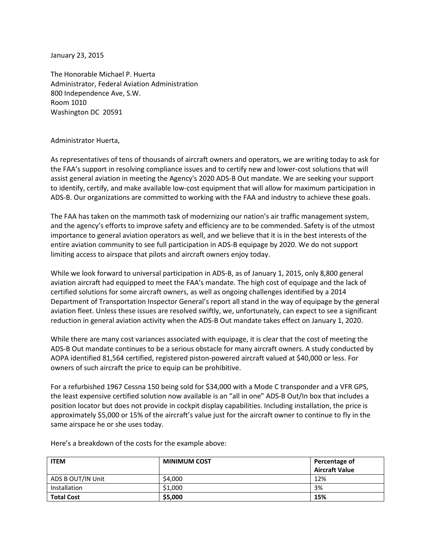January 23, 2015

The Honorable Michael P. Huerta Administrator, Federal Aviation Administration 800 Independence Ave, S.W. Room 1010 Washington DC 20591

## Administrator Huerta,

As representatives of tens of thousands of aircraft owners and operators, we are writing today to ask for the FAA's support in resolving compliance issues and to certify new and lower-cost solutions that will assist general aviation in meeting the Agency's 2020 ADS-B Out mandate. We are seeking your support to identify, certify, and make available low-cost equipment that will allow for maximum participation in ADS-B. Our organizations are committed to working with the FAA and industry to achieve these goals.

The FAA has taken on the mammoth task of modernizing our nation's air traffic management system, and the agency's efforts to improve safety and efficiency are to be commended. Safety is of the utmost importance to general aviation operators as well, and we believe that it is in the best interests of the entire aviation community to see full participation in ADS-B equipage by 2020. We do not support limiting access to airspace that pilots and aircraft owners enjoy today.

While we look forward to universal participation in ADS-B, as of January 1, 2015, only 8,800 general aviation aircraft had equipped to meet the FAA's mandate. The high cost of equipage and the lack of certified solutions for some aircraft owners, as well as ongoing challenges identified by a 2014 Department of Transportation Inspector General's report all stand in the way of equipage by the general aviation fleet. Unless these issues are resolved swiftly, we, unfortunately, can expect to see a significant reduction in general aviation activity when the ADS-B Out mandate takes effect on January 1, 2020.

While there are many cost variances associated with equipage, it is clear that the cost of meeting the ADS-B Out mandate continues to be a serious obstacle for many aircraft owners. A study conducted by AOPA identified 81,564 certified, registered piston-powered aircraft valued at \$40,000 or less. For owners of such aircraft the price to equip can be prohibitive.

For a refurbished 1967 Cessna 150 being sold for \$34,000 with a Mode C transponder and a VFR GPS, the least expensive certified solution now available is an "all in one" ADS-B Out/In box that includes a position locator but does not provide in cockpit display capabilities. Including installation, the price is approximately \$5,000 or 15% of the aircraft's value just for the aircraft owner to continue to fly in the same airspace he or she uses today.

| <b>ITEM</b>       | <b>MINIMUM COST</b> | Percentage of         |
|-------------------|---------------------|-----------------------|
|                   |                     | <b>Aircraft Value</b> |
| ADS B OUT/IN Unit | \$4,000             | 12%                   |
| Installation      | \$1,000             | 3%                    |
| <b>Total Cost</b> | \$5,000             | 15%                   |

Here's a breakdown of the costs for the example above: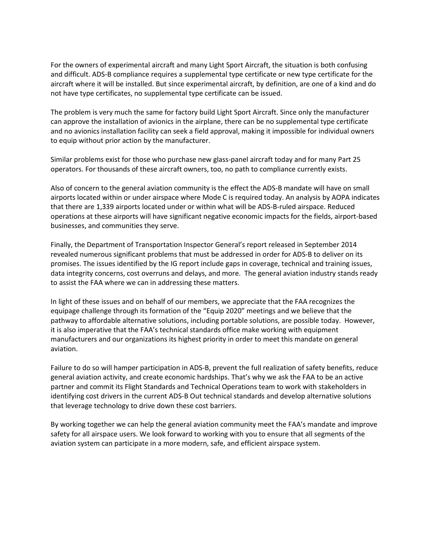For the owners of experimental aircraft and many Light Sport Aircraft, the situation is both confusing and difficult. ADS-B compliance requires a supplemental type certificate or new type certificate for the aircraft where it will be installed. But since experimental aircraft, by definition, are one of a kind and do not have type certificates, no supplemental type certificate can be issued.

The problem is very much the same for factory build Light Sport Aircraft. Since only the manufacturer can approve the installation of avionics in the airplane, there can be no supplemental type certificate and no avionics installation facility can seek a field approval, making it impossible for individual owners to equip without prior action by the manufacturer.

Similar problems exist for those who purchase new glass-panel aircraft today and for many Part 25 operators. For thousands of these aircraft owners, too, no path to compliance currently exists.

Also of concern to the general aviation community is the effect the ADS-B mandate will have on small airports located within or under airspace where Mode C is required today. An analysis by AOPA indicates that there are 1,339 airports located under or within what will be ADS-B-ruled airspace. Reduced operations at these airports will have significant negative economic impacts for the fields, airport-based businesses, and communities they serve.

Finally, the Department of Transportation Inspector General's report released in September 2014 revealed numerous significant problems that must be addressed in order for ADS-B to deliver on its promises. The issues identified by the IG report include gaps in coverage, technical and training issues, data integrity concerns, cost overruns and delays, and more. The general aviation industry stands ready to assist the FAA where we can in addressing these matters.

In light of these issues and on behalf of our members, we appreciate that the FAA recognizes the equipage challenge through its formation of the "Equip 2020" meetings and we believe that the pathway to affordable alternative solutions, including portable solutions, are possible today. However, it is also imperative that the FAA's technical standards office make working with equipment manufacturers and our organizations its highest priority in order to meet this mandate on general aviation.

Failure to do so will hamper participation in ADS-B, prevent the full realization of safety benefits, reduce general aviation activity, and create economic hardships. That's why we ask the FAA to be an active partner and commit its Flight Standards and Technical Operations team to work with stakeholders in identifying cost drivers in the current ADS-B Out technical standards and develop alternative solutions that leverage technology to drive down these cost barriers.

By working together we can help the general aviation community meet the FAA's mandate and improve safety for all airspace users. We look forward to working with you to ensure that all segments of the aviation system can participate in a more modern, safe, and efficient airspace system.